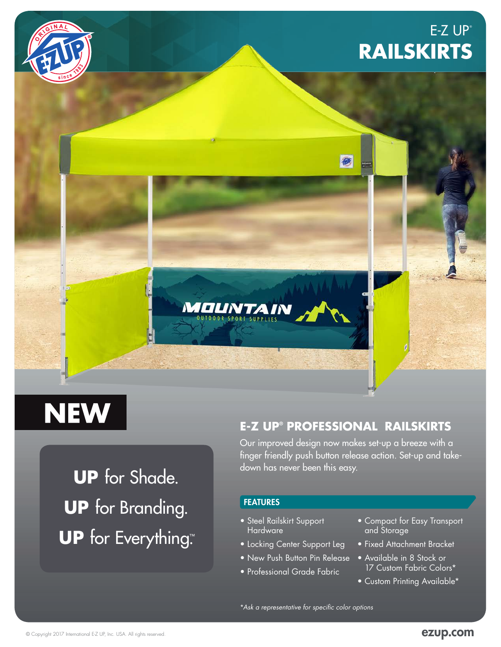# $E-Z UP<sup>°</sup>$ **RAILSKIRTS**



# **NEW**

**UP** for Shade. **UP** for Branding. **UP** for Everything™ .

### **E-Z UP® PROFESSIONAL RAILSKIRTS**

何

Our improved design now makes set-up a breeze with a finger friendly push button release action. Set-up and takedown has never been this easy.

#### **FEATURES**

**MOUNTAIN** 

- Steel Railskirt Support Hardware
- Locking Center Support Leg
- New Push Button Pin Release
- Professional Grade Fabric
- Compact for Easy Transport and Storage
- Fixed Attachment Bracket
- Available in 8 Stock or 17 Custom Fabric Colors\*
- Custom Printing Available\*

\**Ask a representative for specific color options*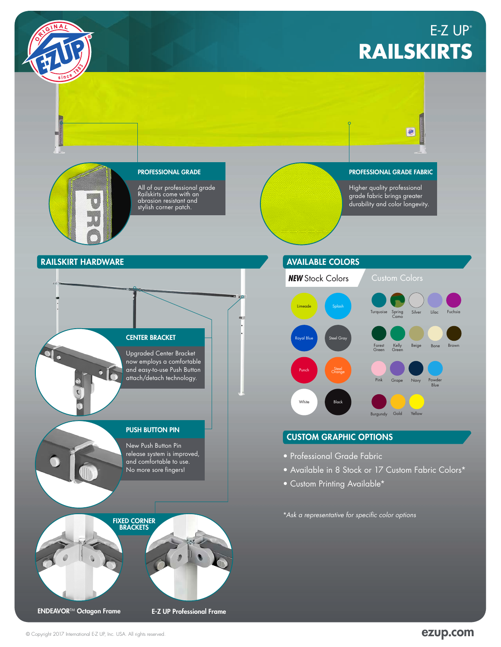



#### **RAILSKIRT HARDWARE AVAILABLE COLORS**



Upgraded Center Bracket now employs a comfortable and easy-to-use Push Button attach/detach technology.

#### PUSH BUTTON PIN

New Push Button Pin release system is improved, and comfortable to use. No more sore fingers!

# FIXED CORNER BRACKETS

ENDEAVORTM Octagon Frame E-Z UP Professional Frame



#### CUSTOM GRAPHIC OPTIONS

- Professional Grade Fabric
- Available in 8 Stock or 17 Custom Fabric Colors\*
- Custom Printing Available\*

\**Ask a representative for specific color options*